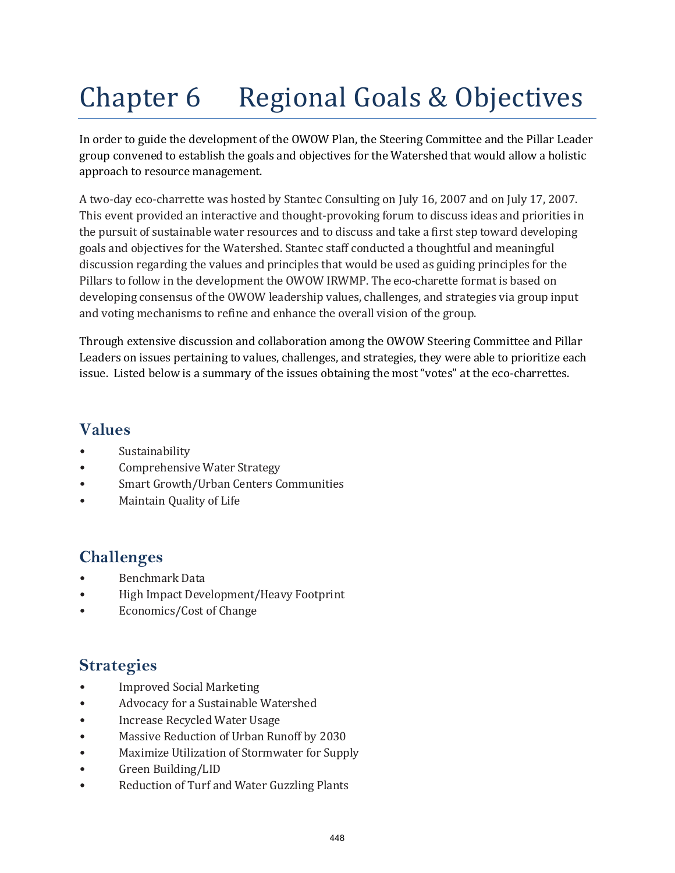# Chapter 6 Regional Goals & Objectives

In order to guide the development of the OWOW Plan, the Steering Committee and the Pillar Leader group convened to establish the goals and objectives for the Watershed that would allow a holistic approach to resource management.

A two-day eco-charrette was hosted by Stantec Consulting on July 16, 2007 and on July 17, 2007. This event provided an interactive and thought-provoking forum to discuss ideas and priorities in the pursuit of sustainable water resources and to discuss and take a first step toward developing goals and objectives for the Watershed. Stantec staff conducted a thoughtful and meaningful discussion regarding the values and principles that would be used as guiding principles for the Pillars to follow in the development the OWOW IRWMP. The eco-charette format is based on developing consensus of the OWOW leadership values, challenges, and strategies via group input and voting mechanisms to refine and enhance the overall vision of the group.

Through extensive discussion and collaboration among the OWOW Steering Committee and Pillar Leaders on issues pertaining to values, challenges, and strategies, they were able to prioritize each issue. Listed below is a summary of the issues obtaining the most "votes" at the eco-charrettes.

### **Values**

- Sustainability
- Comprehensive Water Strategy
- Smart Growth/Urban Centers Communities
- Maintain Quality of Life

## **Challenges**

- Benchmark Data
- High Impact Development/Heavy Footprint
- Economics/Cost of Change

## **Strategies**

- Improved Social Marketing
- Advocacy for a Sustainable Watershed
- Increase Recycled Water Usage
- Massive Reduction of Urban Runoff by 2030
- Maximize Utilization of Stormwater for Supply
- Green Building/LID
- Reduction of Turf and Water Guzzling Plants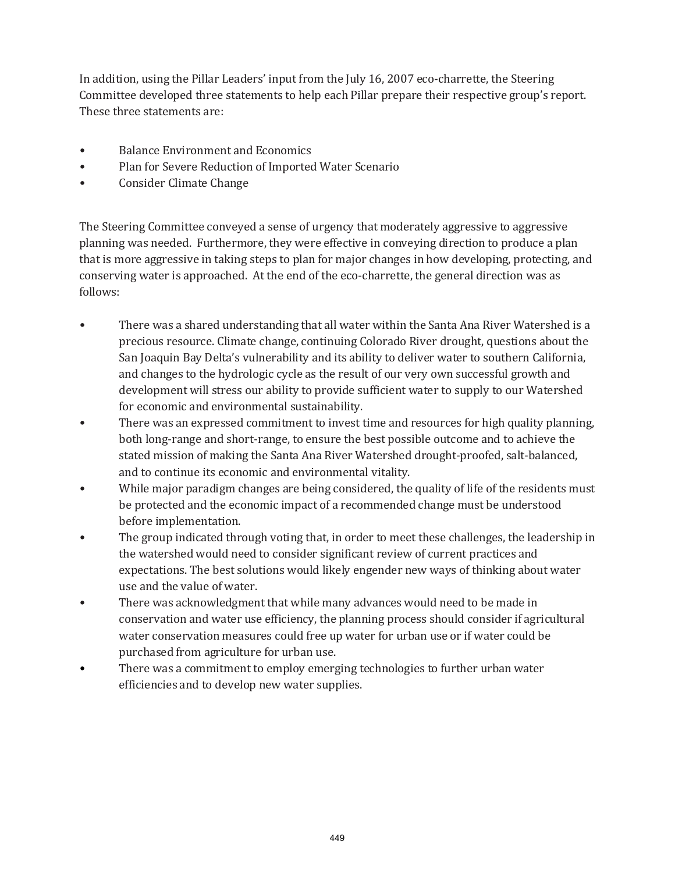In addition, using the Pillar Leaders' input from the July 16, 2007 eco-charrette, the Steering Committee developed three statements to help each Pillar prepare their respective group's report. These three statements are:

- Balance Environment and Economics
- Plan for Severe Reduction of Imported Water Scenario
- Consider Climate Change

The Steering Committee conveyed a sense of urgency that moderately aggressive to aggressive planning was needed. Furthermore, they were effective in conveying direction to produce a plan that is more aggressive in taking steps to plan for major changes in how developing, protecting, and conserving water is approached. At the end of the eco-charrette, the general direction was as follows:

- There was a shared understanding that all water within the Santa Ana River Watershed is a precious resource. Climate change, continuing Colorado River drought, questions about the San Joaquin Bay Delta's vulnerability and its ability to deliver water to southern California, and changes to the hydrologic cycle as the result of our very own successful growth and development will stress our ability to provide sufficient water to supply to our Watershed for economic and environmental sustainability.
- There was an expressed commitment to invest time and resources for high quality planning, both long-range and short-range, to ensure the best possible outcome and to achieve the stated mission of making the Santa Ana River Watershed drought-proofed, salt-balanced, and to continue its economic and environmental vitality.
- While major paradigm changes are being considered, the quality of life of the residents must be protected and the economic impact of a recommended change must be understood before implementation.
- The group indicated through voting that, in order to meet these challenges, the leadership in the watershed would need to consider significant review of current practices and expectations. The best solutions would likely engender new ways of thinking about water use and the value of water.
- There was acknowledgment that while many advances would need to be made in conservation and water use efficiency, the planning process should consider if agricultural water conservation measures could free up water for urban use or if water could be purchased from agriculture for urban use.
- There was a commitment to employ emerging technologies to further urban water efficiencies and to develop new water supplies.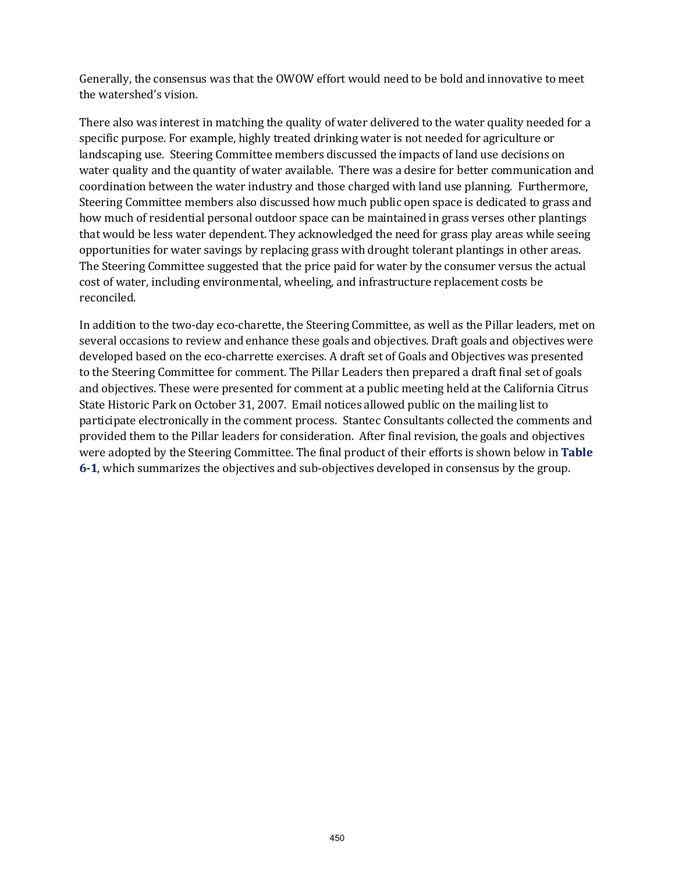Generally, the consensus was that the OWOW effort would need to be bold and innovative to meet the watershed's vision.

There also was interest in matching the quality of water delivered to the water quality needed for a specific purpose. For example, highly treated drinking water is not needed for agriculture or landscaping use. Steering Committee members discussed the impacts of land use decisions on water quality and the quantity of water available. There was a desire for better communication and coordination between the water industry and those charged with land use planning. Furthermore, Steering Committee members also discussed how much public open space is dedicated to grass and how much of residential personal outdoor space can be maintained in grass verses other plantings that would be less water dependent. They acknowledged the need for grass play areas while seeing opportunities for water savings by replacing grass with drought tolerant plantings in other areas. The Steering Committee suggested that the price paid for water by the consumer versus the actual cost of water, including environmental, wheeling, and infrastructure replacement costs be reconciled.

In addition to the two-day eco-charette, the Steering Committee, as well as the Pillar leaders, met on several occasions to review and enhance these goals and objectives. Draft goals and objectives were developed based on the eco-charrette exercises. A draft set of Goals and Objectives was presented to the Steering Committee for comment. The Pillar Leaders then prepared a draft final set of goals and objectives. These were presented for comment at a public meeting held at the California Citrus State Historic Park on October 31, 2007. Email notices allowed public on the mailing list to participate electronically in the comment process. Stantec Consultants collected the comments and provided them to the Pillar leaders for consideration. After final revision, the goals and objectives were adopted by the Steering Committee. The final product of their efforts is shown below in **Table 6-1**, which summarizes the objectives and sub-objectives developed in consensus by the group.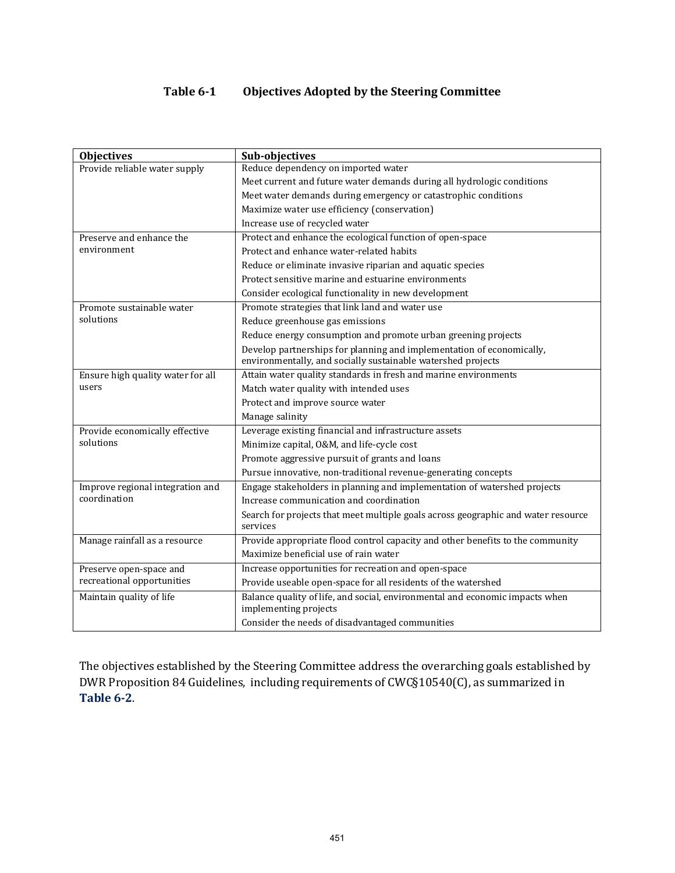#### **Table 6-1 Objectives Adopted by the Steering Committee**

| <b>Objectives</b>                                | Sub-objectives                                                                                                                        |  |
|--------------------------------------------------|---------------------------------------------------------------------------------------------------------------------------------------|--|
| Provide reliable water supply                    | Reduce dependency on imported water                                                                                                   |  |
|                                                  | Meet current and future water demands during all hydrologic conditions                                                                |  |
|                                                  | Meet water demands during emergency or catastrophic conditions                                                                        |  |
|                                                  | Maximize water use efficiency (conservation)                                                                                          |  |
|                                                  | Increase use of recycled water                                                                                                        |  |
| Preserve and enhance the                         | Protect and enhance the ecological function of open-space                                                                             |  |
| environment                                      | Protect and enhance water-related habits                                                                                              |  |
|                                                  | Reduce or eliminate invasive riparian and aquatic species                                                                             |  |
|                                                  | Protect sensitive marine and estuarine environments                                                                                   |  |
|                                                  | Consider ecological functionality in new development                                                                                  |  |
| Promote sustainable water<br>solutions           | Promote strategies that link land and water use                                                                                       |  |
|                                                  | Reduce greenhouse gas emissions                                                                                                       |  |
|                                                  | Reduce energy consumption and promote urban greening projects                                                                         |  |
|                                                  | Develop partnerships for planning and implementation of economically,<br>environmentally, and socially sustainable watershed projects |  |
| Ensure high quality water for all                | Attain water quality standards in fresh and marine environments                                                                       |  |
| users                                            | Match water quality with intended uses                                                                                                |  |
|                                                  | Protect and improve source water                                                                                                      |  |
|                                                  | Manage salinity                                                                                                                       |  |
| Provide economically effective<br>solutions      | Leverage existing financial and infrastructure assets                                                                                 |  |
|                                                  | Minimize capital, O&M, and life-cycle cost                                                                                            |  |
|                                                  | Promote aggressive pursuit of grants and loans                                                                                        |  |
|                                                  | Pursue innovative, non-traditional revenue-generating concepts                                                                        |  |
| Improve regional integration and<br>coordination | Engage stakeholders in planning and implementation of watershed projects                                                              |  |
|                                                  | Increase communication and coordination                                                                                               |  |
|                                                  | Search for projects that meet multiple goals across geographic and water resource<br>services                                         |  |
| Manage rainfall as a resource                    | Provide appropriate flood control capacity and other benefits to the community                                                        |  |
|                                                  | Maximize beneficial use of rain water                                                                                                 |  |
| Preserve open-space and                          | Increase opportunities for recreation and open-space                                                                                  |  |
| recreational opportunities                       | Provide useable open-space for all residents of the watershed                                                                         |  |
| Maintain quality of life                         | Balance quality of life, and social, environmental and economic impacts when<br>implementing projects                                 |  |
|                                                  | Consider the needs of disadvantaged communities                                                                                       |  |

The objectives established by the Steering Committee address the overarching goals established by DWR Proposition 84 Guidelines, including requirements of CWC§10540(C), as summarized in **Table 6-2**.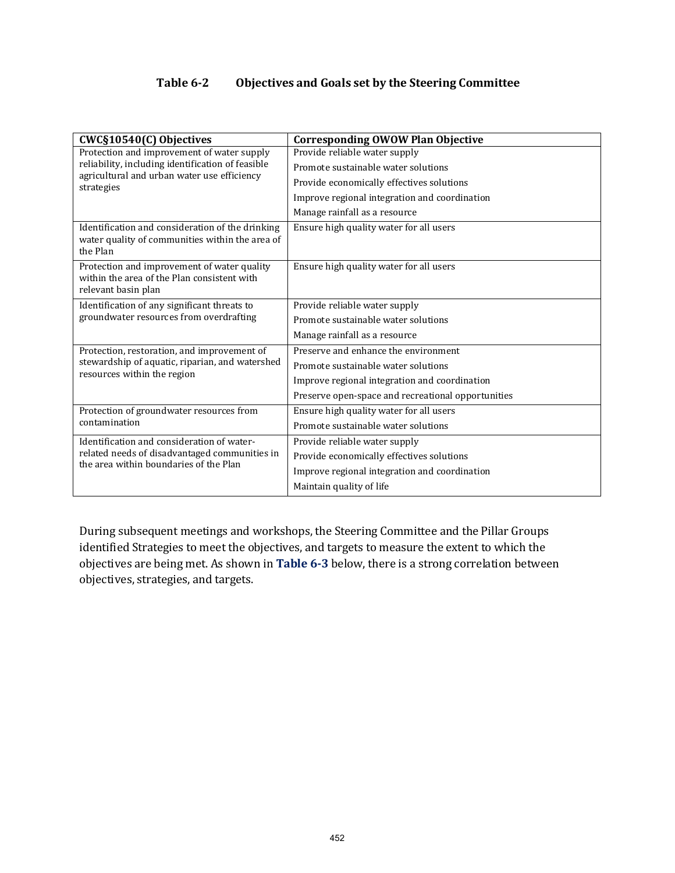#### **Table 6-2 Objectives and Goals set by the Steering Committee**

| CWC§10540(C) Objectives                                                                                           | <b>Corresponding OWOW Plan Objective</b>           |
|-------------------------------------------------------------------------------------------------------------------|----------------------------------------------------|
| Protection and improvement of water supply                                                                        | Provide reliable water supply                      |
| reliability, including identification of feasible                                                                 | Promote sustainable water solutions                |
| agricultural and urban water use efficiency<br>strategies                                                         | Provide economically effectives solutions          |
|                                                                                                                   | Improve regional integration and coordination      |
|                                                                                                                   | Manage rainfall as a resource                      |
| Identification and consideration of the drinking<br>water quality of communities within the area of<br>the Plan   | Ensure high quality water for all users            |
| Protection and improvement of water quality<br>within the area of the Plan consistent with<br>relevant basin plan | Ensure high quality water for all users            |
| Identification of any significant threats to                                                                      | Provide reliable water supply                      |
| groundwater resources from overdrafting                                                                           | Promote sustainable water solutions                |
|                                                                                                                   | Manage rainfall as a resource                      |
| Protection, restoration, and improvement of                                                                       | Preserve and enhance the environment               |
| stewardship of aquatic, riparian, and watershed<br>resources within the region                                    | Promote sustainable water solutions                |
|                                                                                                                   | Improve regional integration and coordination      |
|                                                                                                                   | Preserve open-space and recreational opportunities |
| Protection of groundwater resources from                                                                          | Ensure high quality water for all users            |
| contamination                                                                                                     | Promote sustainable water solutions                |
| Identification and consideration of water-                                                                        | Provide reliable water supply                      |
| related needs of disadvantaged communities in<br>the area within boundaries of the Plan                           | Provide economically effectives solutions          |
|                                                                                                                   | Improve regional integration and coordination      |
|                                                                                                                   | Maintain quality of life                           |

During subsequent meetings and workshops, the Steering Committee and the Pillar Groups identified Strategies to meet the objectives, and targets to measure the extent to which the objectives are being met. As shown in **Table 6-3** below, there is a strong correlation between objectives, strategies, and targets.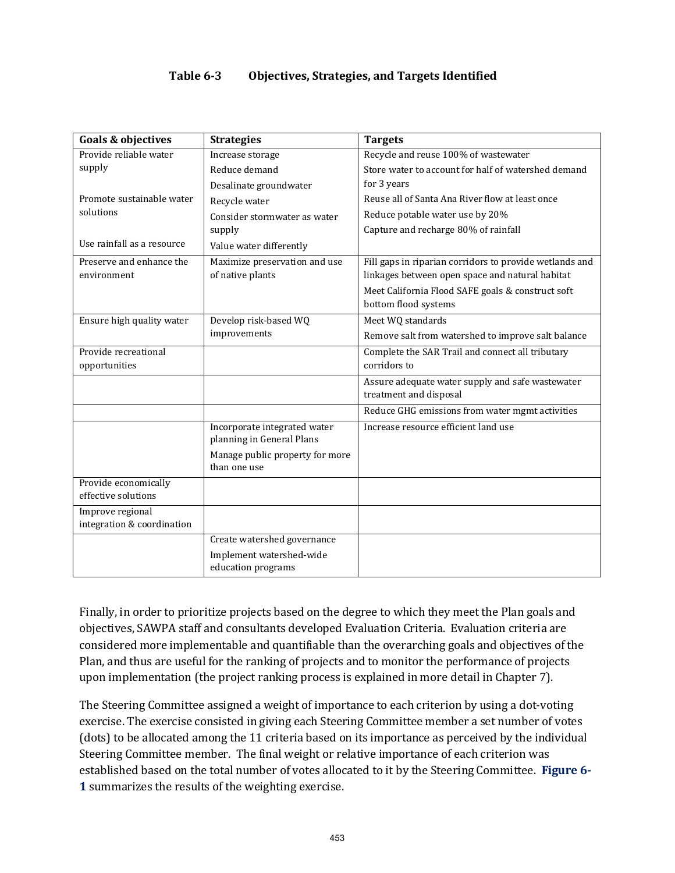#### **Table 6-3 Objectives, Strategies, and Targets Identified**

| <b>Goals &amp; objectives</b> | <b>Strategies</b>                                         | <b>Targets</b>                                          |
|-------------------------------|-----------------------------------------------------------|---------------------------------------------------------|
| Provide reliable water        | Increase storage                                          | Recycle and reuse 100% of wastewater                    |
| supply                        | Reduce demand                                             | Store water to account for half of watershed demand     |
|                               | Desalinate groundwater                                    | for 3 years                                             |
| Promote sustainable water     | Recycle water                                             | Reuse all of Santa Ana River flow at least once         |
| solutions                     | Consider stormwater as water<br>supply                    | Reduce potable water use by 20%                         |
|                               |                                                           | Capture and recharge 80% of rainfall                    |
| Use rainfall as a resource    | Value water differently                                   |                                                         |
| Preserve and enhance the      | Maximize preservation and use                             | Fill gaps in riparian corridors to provide wetlands and |
| environment                   | of native plants                                          | linkages between open space and natural habitat         |
|                               |                                                           | Meet California Flood SAFE goals & construct soft       |
|                               |                                                           | bottom flood systems                                    |
| Ensure high quality water     | Develop risk-based WQ<br>improvements                     | Meet WQ standards                                       |
|                               |                                                           | Remove salt from watershed to improve salt balance      |
| Provide recreational          |                                                           | Complete the SAR Trail and connect all tributary        |
| opportunities                 |                                                           | corridors to                                            |
|                               |                                                           | Assure adequate water supply and safe wastewater        |
|                               |                                                           | treatment and disposal                                  |
|                               |                                                           | Reduce GHG emissions from water mgmt activities         |
|                               | Incorporate integrated water<br>planning in General Plans | Increase resource efficient land use                    |
|                               | Manage public property for more                           |                                                         |
|                               | than one use                                              |                                                         |
| Provide economically          |                                                           |                                                         |
| effective solutions           |                                                           |                                                         |
| Improve regional              |                                                           |                                                         |
| integration & coordination    |                                                           |                                                         |
|                               | Create watershed governance                               |                                                         |
|                               | Implement watershed-wide                                  |                                                         |
|                               | education programs                                        |                                                         |

Finally, in order to prioritize projects based on the degree to which they meet the Plan goals and objectives, SAWPA staff and consultants developed Evaluation Criteria. Evaluation criteria are considered more implementable and quantifiable than the overarching goals and objectives of the Plan, and thus are useful for the ranking of projects and to monitor the performance of projects upon implementation (the project ranking process is explained in more detail in Chapter 7).

The Steering Committee assigned a weight of importance to each criterion by using a dot-voting exercise. The exercise consisted in giving each Steering Committee member a set number of votes (dots) to be allocated among the 11 criteria based on its importance as perceived by the individual Steering Committee member. The final weight or relative importance of each criterion was established based on the total number of votes allocated to it by the Steering Committee. **Figure 6- 1** summarizes the results of the weighting exercise.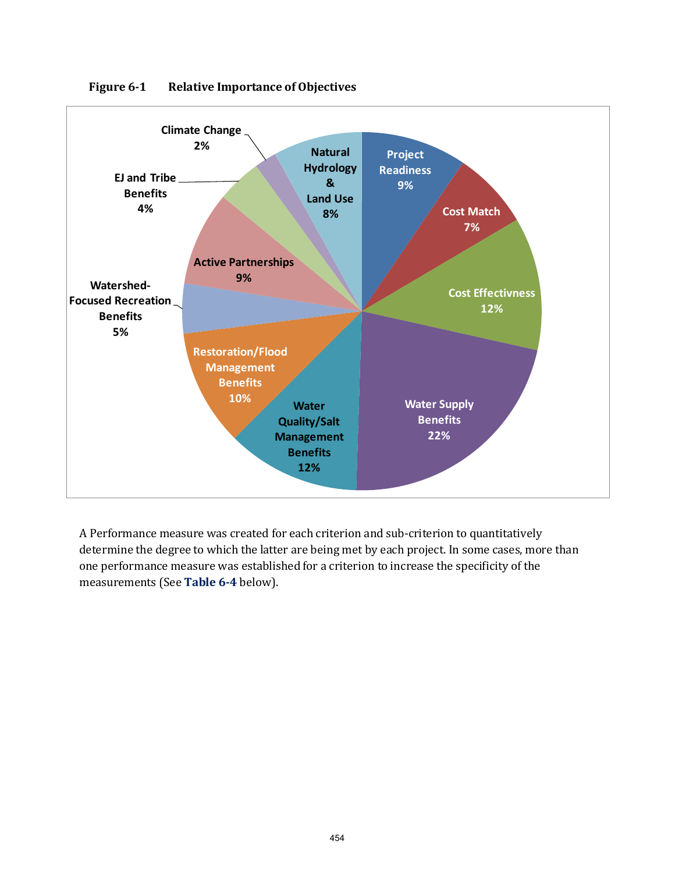

**Figure 6-1 Relative Importance of Objectives**

A Performance measure was created for each criterion and sub-criterion to quantitatively determine the degree to which the latter are being met by each project. In some cases, more than one performance measure was established for a criterion to increase the specificity of the measurements (See **Table 6-4** below).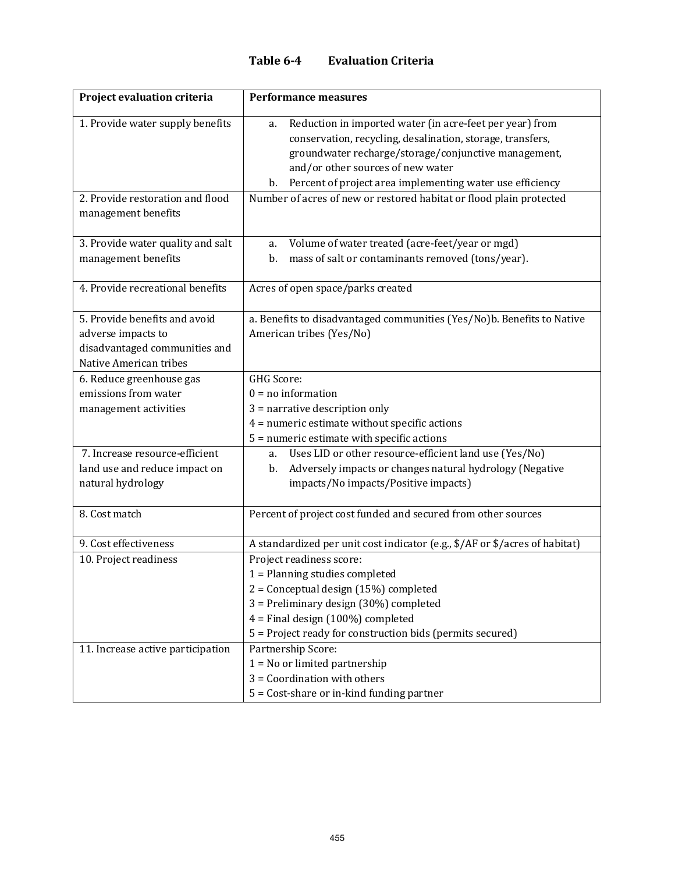#### **Table 6-4 Evaluation Criteria**

| Project evaluation criteria       | <b>Performance measures</b>                                                 |
|-----------------------------------|-----------------------------------------------------------------------------|
| 1. Provide water supply benefits  | Reduction in imported water (in acre-feet per year) from<br>a.              |
|                                   | conservation, recycling, desalination, storage, transfers,                  |
|                                   | groundwater recharge/storage/conjunctive management,                        |
|                                   | and/or other sources of new water                                           |
|                                   | Percent of project area implementing water use efficiency<br>b.             |
| 2. Provide restoration and flood  | Number of acres of new or restored habitat or flood plain protected         |
| management benefits               |                                                                             |
|                                   |                                                                             |
| 3. Provide water quality and salt | Volume of water treated (acre-feet/year or mgd)<br>a.                       |
| management benefits               | mass of salt or contaminants removed (tons/year).<br>b.                     |
|                                   |                                                                             |
| 4. Provide recreational benefits  | Acres of open space/parks created                                           |
| 5. Provide benefits and avoid     | a. Benefits to disadvantaged communities (Yes/No)b. Benefits to Native      |
| adverse impacts to                | American tribes (Yes/No)                                                    |
| disadvantaged communities and     |                                                                             |
| Native American tribes            |                                                                             |
| 6. Reduce greenhouse gas          | GHG Score:                                                                  |
| emissions from water              | $0 = no information$                                                        |
| management activities             | $3$ = narrative description only                                            |
|                                   | $4 =$ numeric estimate without specific actions                             |
|                                   | $5 =$ numeric estimate with specific actions                                |
| 7. Increase resource-efficient    | Uses LID or other resource-efficient land use (Yes/No)<br>a.                |
| land use and reduce impact on     | Adversely impacts or changes natural hydrology (Negative<br>b.              |
| natural hydrology                 | impacts/No impacts/Positive impacts)                                        |
|                                   |                                                                             |
| 8. Cost match                     | Percent of project cost funded and secured from other sources               |
| 9. Cost effectiveness             | A standardized per unit cost indicator (e.g., \$/AF or \$/acres of habitat) |
| 10. Project readiness             | Project readiness score:                                                    |
|                                   | 1 = Planning studies completed                                              |
|                                   | $2 =$ Conceptual design (15%) completed                                     |
|                                   | 3 = Preliminary design (30%) completed                                      |
|                                   | $4$ = Final design (100%) completed                                         |
|                                   | 5 = Project ready for construction bids (permits secured)                   |
| 11. Increase active participation | Partnership Score:                                                          |
|                                   | $1 = No$ or limited partnership                                             |
|                                   | $3 =$ Coordination with others                                              |
|                                   | $5 = Cost$ -share or in-kind funding partner                                |